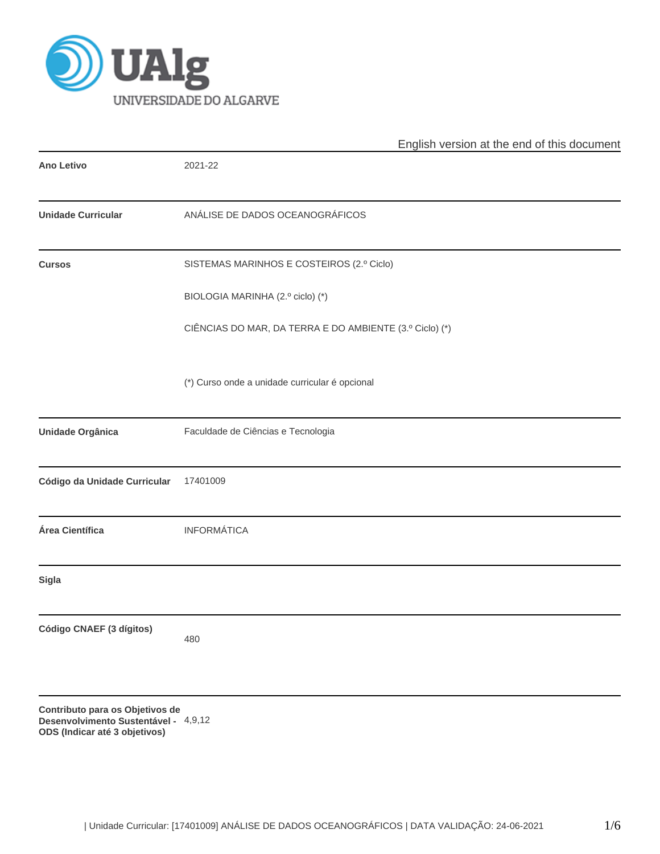

|                                 | English version at the end of this document             |
|---------------------------------|---------------------------------------------------------|
| <b>Ano Letivo</b>               | 2021-22                                                 |
| <b>Unidade Curricular</b>       | ANÁLISE DE DADOS OCEANOGRÁFICOS                         |
| <b>Cursos</b>                   | SISTEMAS MARINHOS E COSTEIROS (2.º Ciclo)               |
|                                 | BIOLOGIA MARINHA (2.º ciclo) (*)                        |
|                                 | CIÊNCIAS DO MAR, DA TERRA E DO AMBIENTE (3.º Ciclo) (*) |
|                                 | (*) Curso onde a unidade curricular é opcional          |
| Unidade Orgânica                | Faculdade de Ciências e Tecnologia                      |
| Código da Unidade Curricular    | 17401009                                                |
| Área Científica                 | <b>INFORMÁTICA</b>                                      |
| <b>Sigla</b>                    |                                                         |
| Código CNAEF (3 dígitos)        | 480                                                     |
| Contributo para os Objetivos de |                                                         |

**Desenvolvimento Sustentável -** 4,9,12**ODS (Indicar até 3 objetivos)**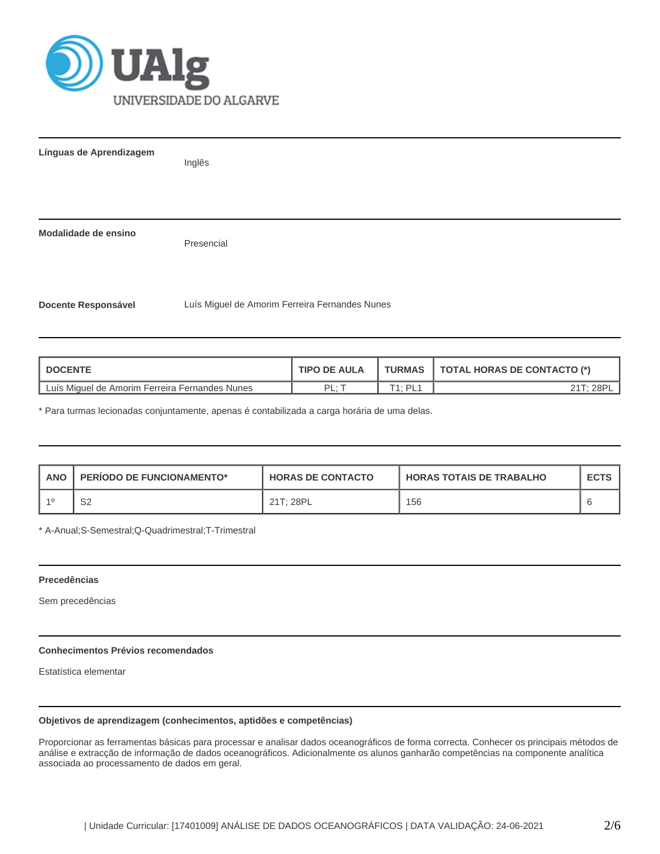

| Línguas de Aprendizagem    | Inglês                                         |
|----------------------------|------------------------------------------------|
|                            |                                                |
| Modalidade de ensino       | Presencial                                     |
| <b>Docente Responsável</b> | Luís Miguel de Amorim Ferreira Fernandes Nunes |

| <b>I DOCENTE</b>                               | <b>TIPO DE AULA</b> | <b>TURMAS</b>              | <b>TOTAL HORAS DE CONTACTO (*)</b> |
|------------------------------------------------|---------------------|----------------------------|------------------------------------|
| Luís Miguel de Amorim Ferreira Fernandes Nunes | י ום ּ              | $T4 \cdot D1$<br><u>ы.</u> | 28F                                |

\* Para turmas lecionadas conjuntamente, apenas é contabilizada a carga horária de uma delas.

| <b>ANO</b> | <b>PERIODO DE FUNCIONAMENTO*</b> | <b>HORAS DE CONTACTO</b> | I HORAS TOTAIS DE TRABALHO | <b>ECTS</b> |
|------------|----------------------------------|--------------------------|----------------------------|-------------|
| -40        | S2                               | 21T: 28PL                | 156                        |             |

\* A-Anual;S-Semestral;Q-Quadrimestral;T-Trimestral

### **Precedências**

Sem precedências

# **Conhecimentos Prévios recomendados**

Estatística elementar

# **Objetivos de aprendizagem (conhecimentos, aptidões e competências)**

Proporcionar as ferramentas básicas para processar e analisar dados oceanográficos de forma correcta. Conhecer os principais métodos de análise e extracção de informação de dados oceanográficos. Adicionalmente os alunos ganharão competências na componente analítica associada ao processamento de dados em geral.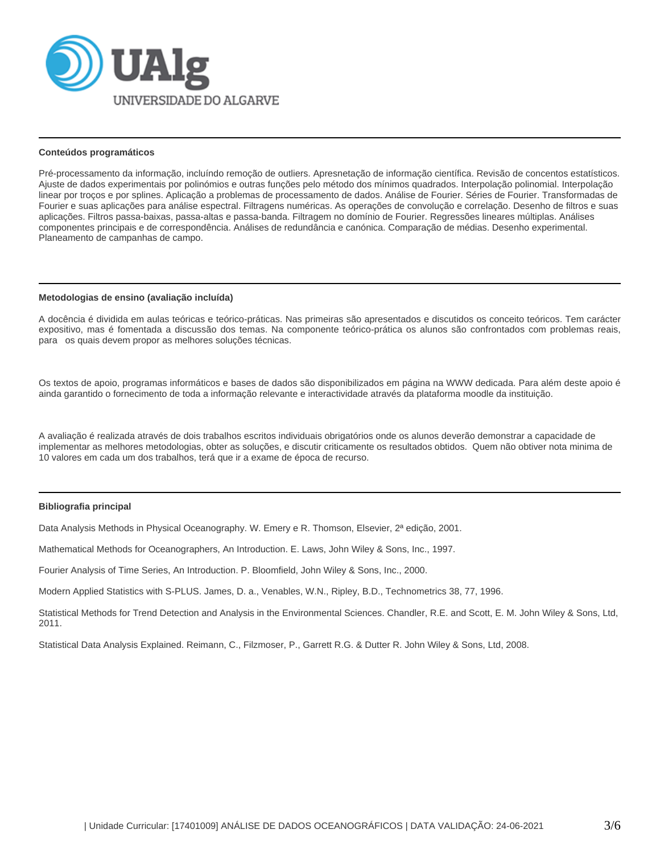

## **Conteúdos programáticos**

Pré-processamento da informação, incluíndo remoção de outliers. Apresnetação de informação científica. Revisão de concentos estatísticos. Ajuste de dados experimentais por polinómios e outras funções pelo método dos mínimos quadrados. Interpolação polinomial. Interpolação linear por troços e por splines. Aplicação a problemas de processamento de dados. Análise de Fourier. Séries de Fourier. Transformadas de Fourier e suas aplicações para análise espectral. Filtragens numéricas. As operações de convolução e correlação. Desenho de filtros e suas aplicações. Filtros passa-baixas, passa-altas e passa-banda. Filtragem no domínio de Fourier. Regressões lineares múltiplas. Análises componentes principais e de correspondência. Análises de redundância e canónica. Comparação de médias. Desenho experimental. Planeamento de campanhas de campo.

#### **Metodologias de ensino (avaliação incluída)**

A docência é dividida em aulas teóricas e teórico-práticas. Nas primeiras são apresentados e discutidos os conceito teóricos. Tem carácter expositivo, mas é fomentada a discussão dos temas. Na componente teórico-prática os alunos são confrontados com problemas reais, para os quais devem propor as melhores soluções técnicas.

Os textos de apoio, programas informáticos e bases de dados são disponibilizados em página na WWW dedicada. Para além deste apoio é ainda garantido o fornecimento de toda a informação relevante e interactividade através da plataforma moodle da instituição.

A avaliação é realizada através de dois trabalhos escritos individuais obrigatórios onde os alunos deverão demonstrar a capacidade de implementar as melhores metodologias, obter as soluções, e discutir criticamente os resultados obtidos. Quem não obtiver nota minima de 10 valores em cada um dos trabalhos, terá que ir a exame de época de recurso.

### **Bibliografia principal**

Data Analysis Methods in Physical Oceanography. W. Emery e R. Thomson, Elsevier, 2ª edição, 2001.

Mathematical Methods for Oceanographers, An Introduction. E. Laws, John Wiley & Sons, Inc., 1997.

Fourier Analysis of Time Series, An Introduction. P. Bloomfield, John Wiley & Sons, Inc., 2000.

Modern Applied Statistics with S-PLUS. James, D. a., Venables, W.N., Ripley, B.D., Technometrics 38, 77, 1996.

Statistical Methods for Trend Detection and Analysis in the Environmental Sciences. Chandler, R.E. and Scott, E. M. John Wiley & Sons, Ltd, 2011.

Statistical Data Analysis Explained. Reimann, C., Filzmoser, P., Garrett R.G. & Dutter R. John Wiley & Sons, Ltd, 2008.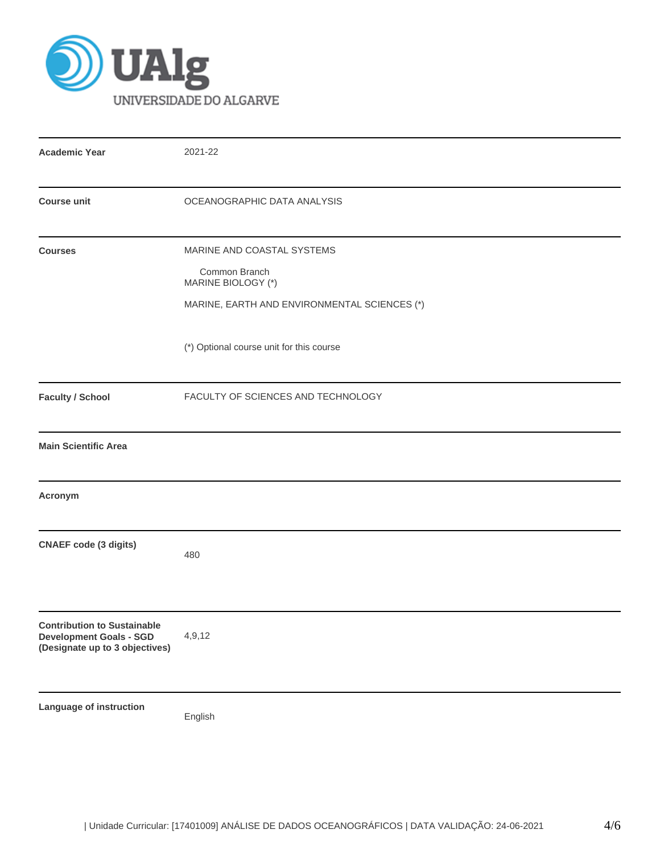

| <b>Academic Year</b>                                                                                   | 2021-22                                                                                                           |
|--------------------------------------------------------------------------------------------------------|-------------------------------------------------------------------------------------------------------------------|
| <b>Course unit</b>                                                                                     | OCEANOGRAPHIC DATA ANALYSIS                                                                                       |
| <b>Courses</b>                                                                                         | MARINE AND COASTAL SYSTEMS<br>Common Branch<br>MARINE BIOLOGY (*)<br>MARINE, EARTH AND ENVIRONMENTAL SCIENCES (*) |
| <b>Faculty / School</b>                                                                                | (*) Optional course unit for this course<br>FACULTY OF SCIENCES AND TECHNOLOGY                                    |
| <b>Main Scientific Area</b>                                                                            |                                                                                                                   |
| Acronym                                                                                                |                                                                                                                   |
| <b>CNAEF code (3 digits)</b>                                                                           | 480                                                                                                               |
| <b>Contribution to Sustainable</b><br><b>Development Goals - SGD</b><br>(Designate up to 3 objectives) | 4,9,12                                                                                                            |
| Language of instruction                                                                                | English                                                                                                           |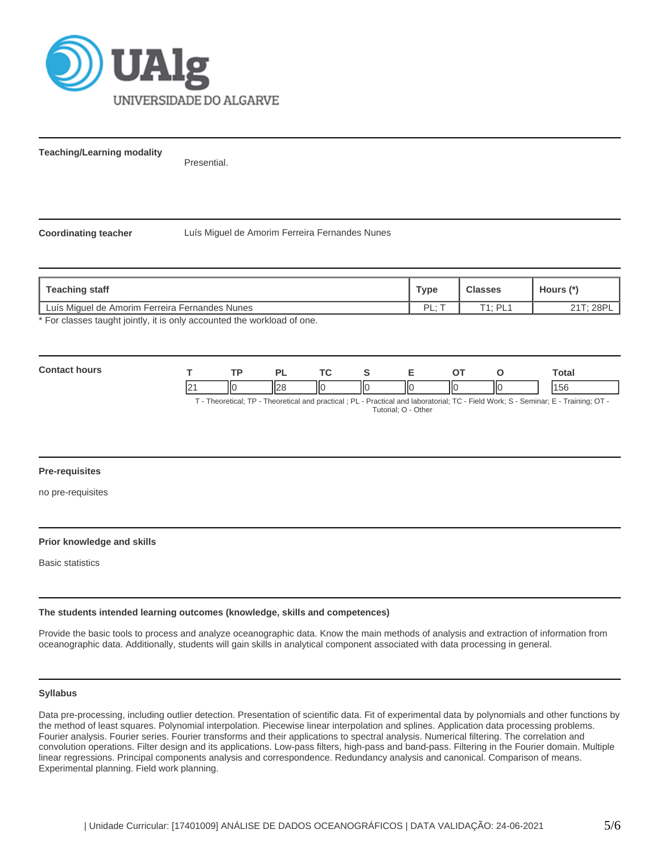

**Teaching/Learning modality**

Presential.

**Coordinating teacher** Luís Miguel de Amorim Ferreira Fernandes Nunes

| Teaching staff                                                        | Туре     | <b>Classes</b>   | Hours (* |
|-----------------------------------------------------------------------|----------|------------------|----------|
| Luís Miquel de Amorim Ferreira Fernandes Nunes                        | PI.<br>- | T1 · PI <i>·</i> | T: 28PL  |
| * Ear algonne tought jointly it is only persuated the werkload of ane |          |                  |          |

For classes taught jointly, it is only accounted the workload of one.

| Con |             |    | D.                           | $\sim$ |   |                          |    |    | Total |
|-----|-------------|----|------------------------------|--------|---|--------------------------|----|----|-------|
|     | $\sim$<br>▵ | ШC | $\mathsf{I} \cap \mathsf{C}$ | IІC    | Ш | $\overline{\phantom{a}}$ | IЮ | ШC | l 50  |

T - Theoretical; TP - Theoretical and practical ; PL - Practical and laboratorial; TC - Field Work; S - Seminar; E - Training; OT - Tutorial; O - Other

### **Pre-requisites**

no pre-requisites

### **Prior knowledge and skills**

Basic statistics

### **The students intended learning outcomes (knowledge, skills and competences)**

Provide the basic tools to process and analyze oceanographic data. Know the main methods of analysis and extraction of information from oceanographic data. Additionally, students will gain skills in analytical component associated with data processing in general.

#### **Syllabus**

Data pre-processing, including outlier detection. Presentation of scientific data. Fit of experimental data by polynomials and other functions by the method of least squares. Polynomial interpolation. Piecewise linear interpolation and splines. Application data processing problems. Fourier analysis. Fourier series. Fourier transforms and their applications to spectral analysis. Numerical filtering. The correlation and convolution operations. Filter design and its applications. Low-pass filters, high-pass and band-pass. Filtering in the Fourier domain. Multiple linear regressions. Principal components analysis and correspondence. Redundancy analysis and canonical. Comparison of means. Experimental planning. Field work planning.